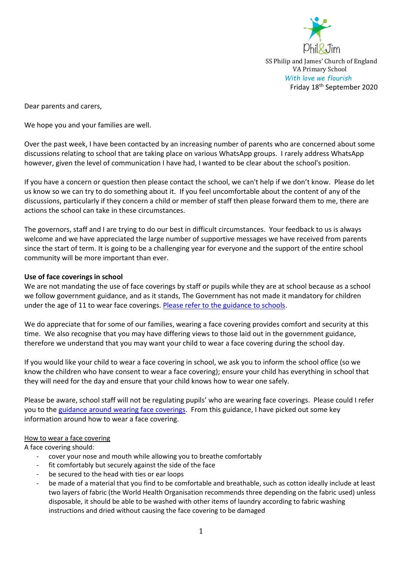

SS Philip and James' Church of England VA Primary School *With love we flourish*  Friday 18<sup>th</sup> September 2020

Dear parents and carers,

We hope you and your families are well.

Over the past week, I have been contacted by an increasing number of parents who are concerned about some discussions relating to school that are taking place on various WhatsApp groups. I rarely address WhatsApp however, given the level of communication I have had, I wanted to be clear about the school's position.

If you have a concern or question then please contact the school, we can't help if we don't know. Please do let us know so we can try to do something about it. If you feel uncomfortable about the content of any of the discussions, particularly if they concern a child or member of staff then please forward them to me, there are actions the school can take in these circumstances.

The governors, staff and I are trying to do our best in difficult circumstances. Your feedback to us is always welcome and we have appreciated the large number of supportive messages we have received from parents since the start of term. It is going to be a challenging year for everyone and the support of the entire school community will be more important than ever.

# **Use of face coverings in school**

We are not mandating the use of face coverings by staff or pupils while they are at school because as a school we follow government guidance, and as it stands, The Government has not made it mandatory for children under the age of 11 to wear face coverings. [Please refer to the guidance to schools.](https://www.gov.uk/government/publications/face-coverings-in-education/face-coverings-in-education)

We do appreciate that for some of our families, wearing a face covering provides comfort and security at this time. We also recognise that you may have differing views to those laid out in the government guidance, therefore we understand that you may want your child to wear a face covering during the school day.

If you would like your child to wear a face covering in school, we ask you to inform the school office (so we know the children who have consent to wear a face covering); ensure your child has everything in school that they will need for the day and ensure that your child knows how to wear one safely.

Please be aware, school staff will not be regulating pupils' who are wearing face coverings. Please could I refer you to th[e guidance around wearing face coverings.](https://www.gov.uk/government/publications/face-coverings-when-to-wear-one-and-how-to-make-your-own/face-coverings-when-to-wear-one-and-how-to-make-your-own#how-to-wear-a-face-covering) From this guidance, I have picked out some key information around how to wear a face covering.

# How to wear a face covering

A face covering should:

- cover your nose and mouth while allowing you to breathe comfortably
- fit comfortably but securely against the side of the face
- be secured to the head with ties or ear loops
- be made of a material that you find to be comfortable and breathable, such as cotton ideally include at least two layers of fabric (the World Health Organisation recommends three depending on the fabric used) unless disposable, it should be able to be washed with other items of laundry according to fabric washing instructions and dried without causing the face covering to be damaged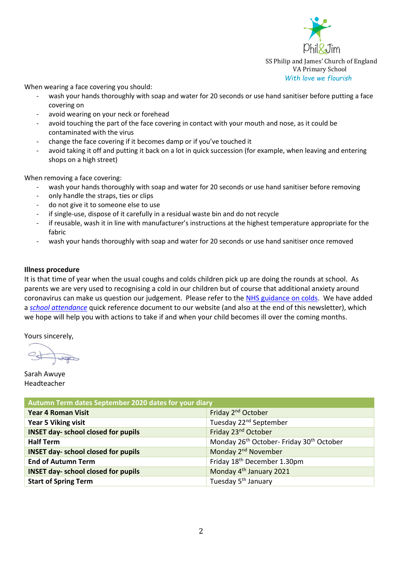

SS Philip and James' Church of England VA Primary School *With love we flourish* 

When wearing a face covering you should:

- wash your hands thoroughly with soap and water for 20 seconds or use hand sanitiser before putting a face covering on
- avoid wearing on your neck or forehead
- avoid touching the part of the face covering in contact with your mouth and nose, as it could be contaminated with the virus
- change the face covering if it becomes damp or if you've touched it
- avoid taking it off and putting it back on a lot in quick succession (for example, when leaving and entering shops on a high street)

When removing a face covering:

- wash your hands thoroughly with soap and water for 20 seconds or use hand sanitiser before removing
- only handle the straps, ties or clips
- do not give it to someone else to use
- if single-use, dispose of it carefully in a residual waste bin and do not recycle
- if reusable, wash it in line with manufacturer's instructions at the highest temperature appropriate for the fabric
- wash your hands thoroughly with soap and water for 20 seconds or use hand sanitiser once removed

# **Illness procedure**

It is that time of year when the usual coughs and colds children pick up are doing the rounds at school. As parents we are very used to recognising a cold in our children but of course that additional anxiety around coronavirus can make us question our judgement. Please refer to the [NHS guidance on colds.](https://www.nhs.uk/conditions/common-cold/) We have added a *[school attendance](https://philandjim.org.uk/wp-content/uploads/2020/09/School-attendance-during-covid-pandemic.pdf)* quick reference document to our website (and also at the end of this newsletter), which we hope will help you with actions to take if and when your child becomes ill over the coming months.

Yours sincerely,

Super

Sarah Awuye Headteacher

| Autumn Term dates September 2020 dates for your diary |                                                                  |  |
|-------------------------------------------------------|------------------------------------------------------------------|--|
| <b>Year 4 Roman Visit</b>                             | Friday 2 <sup>nd</sup> October                                   |  |
| <b>Year 5 Viking visit</b>                            | Tuesday 22 <sup>nd</sup> September                               |  |
| <b>INSET day- school closed for pupils</b>            | Friday 23 <sup>nd</sup> October                                  |  |
| <b>Half Term</b>                                      | Monday 26 <sup>th</sup> October- Friday 30 <sup>th</sup> October |  |
| <b>INSET day- school closed for pupils</b>            | Monday 2 <sup>nd</sup> November                                  |  |
| <b>End of Autumn Term</b>                             | Friday 18 <sup>th</sup> December 1.30pm                          |  |
| <b>INSET day- school closed for pupils</b>            | Monday 4 <sup>th</sup> January 2021                              |  |
| <b>Start of Spring Term</b>                           | Tuesday 5 <sup>th</sup> January                                  |  |